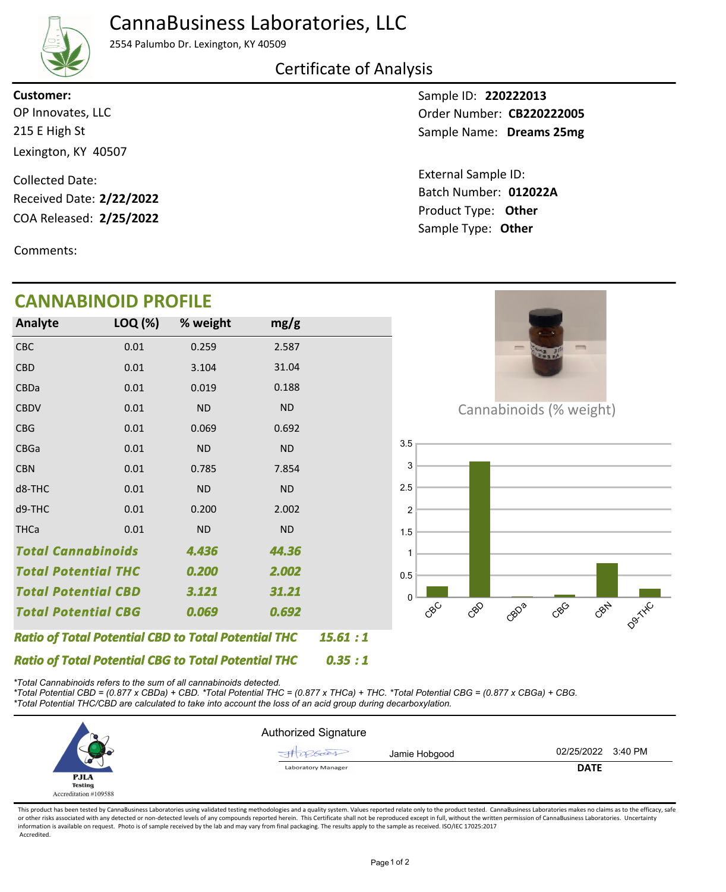### CannaBusiness Laboratories, LLC



2554 Palumbo Dr. Lexington, KY 40509

#### Certificate of Analysis

**Customer:**

215 E High St Lexington, KY 40507 OP Innovates, LLC

COA Released: Collected Date: Received Date: **2/22/2022**

Comments:

### **CANNABINOID PROFILE**

Sample ID: **220222013** Sample Name: Dreams 25mg Order Number: CB220222005

Product Type: **Other 2/25/2022 012022A** Batch Number: External Sample ID: Sample Type: **Other**



*\*Total Cannabinoids refers to the sum of all cannabinoids detected.*

*\*Total Potential CBD = (0.877 x CBDa) + CBD. \*Total Potential THC = (0.877 x THCa) + THC. \*Total Potential CBG = (0.877 x CBGa) + CBG. \*Total Potential THC/CBD are calculated to take into account the loss of an acid group during decarboxylation.*



This product has been tested by CannaBusiness Laboratories using validated testing methodologies and a quality system. Values reported relate only to the product tested. CannaBusiness Laboratories makes no claims as to the or other risks associated with any detected or non-detected levels of any compounds reported herein. This Certificate shall not be reproduced except in full, without the written permission of CannaBusiness Laboratories. Un information is available on request. Photo is of sample received by the lab and may vary from final packaging. The results apply to the sample as received. ISO/IEC 17025:2017 Accredited.